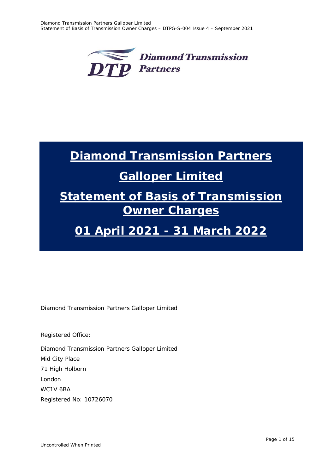

# **Diamond Transmission Partners**

# **Galloper Limited**

# **Statement of Basis of Transmission Owner Charges**

# **01 April 2021 - 31 March 2022**

Diamond Transmission Partners Galloper Limited

Registered Office:

Diamond Transmission Partners Galloper Limited Mid City Place 71 High Holborn London WC1V 6BA Registered No: 10726070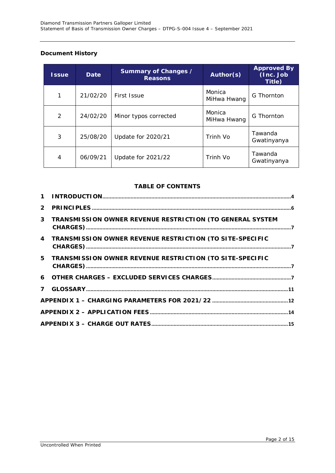### **Document History**

| <b>Issue</b> | Date     | Summary of Changes /<br><b>Reasons</b> | Author(s)             | <b>Approved By</b><br>(Inc. Job<br>Title) |
|--------------|----------|----------------------------------------|-----------------------|-------------------------------------------|
| 1            | 21/02/20 | First Issue                            | Monica<br>MiHwa Hwang | G Thornton                                |
| 2            | 24/02/20 | Minor typos corrected                  | Monica<br>MiHwa Hwang | G Thornton                                |
| 3            | 25/08/20 | <b>Update for 2020/21</b>              | Trinh Vo              | Tawanda<br>Gwatinyanya                    |
| 4            | 06/09/21 | Update for 2021/22                     | Trinh Vo              | Tawanda<br>Gwatinyanya                    |

### **TABLE OF CONTENTS**

| 3 TRANSMISSION OWNER REVENUE RESTRICTION (TO GENERAL SYSTEM |  |
|-------------------------------------------------------------|--|
| 4 TRANSMISSION OWNER REVENUE RESTRICTION (TO SITE-SPECIFIC  |  |
| 5 TRANSMISSION OWNER REVENUE RESTRICTION (TO SITE-SPECIFIC  |  |
|                                                             |  |
|                                                             |  |
|                                                             |  |
|                                                             |  |
|                                                             |  |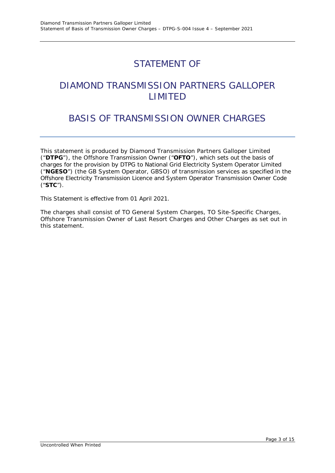# STATEMENT OF

# DIAMOND TRANSMISSION PARTNERS GALLOPER LIMITED

# BASIS OF TRANSMISSION OWNER CHARGES

This statement is produced by Diamond Transmission Partners Galloper Limited ("**DTPG**"), the Offshore Transmission Owner ("**OFTO**"), which sets out the basis of charges for the provision by DTPG to National Grid Electricity System Operator Limited ("**NGESO**") (the GB System Operator, GBSO) of transmission services as specified in the Offshore Electricity Transmission Licence and System Operator Transmission Owner Code ("**STC**").

This Statement is effective from 01 April 2021.

The charges shall consist of TO General System Charges, TO Site-Specific Charges, Offshore Transmission Owner of Last Resort Charges and Other Charges as set out in this statement.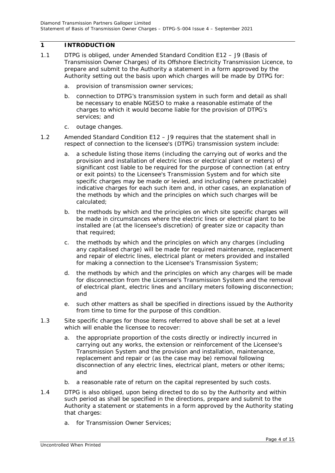### <span id="page-3-0"></span>**1 INTRODUCTION**

- 1.1 DTPG is obliged, under Amended Standard Condition E12 J9 (Basis of Transmission Owner Charges) of its Offshore Electricity Transmission Licence, to prepare and submit to the Authority a statement in a form approved by the Authority setting out the basis upon which charges will be made by DTPG for:
	- *a. provision of transmission owner services;*
	- *b. connection to DTPG's transmission system in such form and detail as shall be necessary to enable NGESO to make a reasonable estimate of the charges to which it would become liable for the provision of DTPG's services; and*
	- *c. outage changes.*
- 1.2 Amended Standard Condition E12 J9 requires that the statement shall in respect of connection to the licensee's (DTPG) transmission system include:
	- *a. a schedule listing those items (including the carrying out of works and the provision and installation of electric lines or electrical plant or meters) of significant cost liable to be required for the purpose of connection (at entry or exit points) to the Licensee's Transmission System and for which site specific charges may be made or levied, and including (where practicable) indicative charges for each such item and, in other cases, an explanation of the methods by which and the principles on which such charges will be calculated;*
	- *b. the methods by which and the principles on which site specific charges will be made in circumstances where the electric lines or electrical plant to be installed are (at the licensee's discretion) of greater size or capacity than that required;*
	- *c. the methods by which and the principles on which any charges (including any capitalised charge) will be made for required maintenance, replacement and repair of electric lines, electrical plant or meters provided and installed for making a connection to the Licensee's Transmission System;*
	- *d. the methods by which and the principles on which any charges will be made for disconnection from the Licensee's Transmission System and the removal of electrical plant, electric lines and ancillary meters following disconnection; and*
	- *e. such other matters as shall be specified in directions issued by the Authority from time to time for the purpose of this condition.*
- 1.3 Site specific charges for those items referred to above shall be set at a level which will enable the licensee to recover:
	- *a. the appropriate proportion of the costs directly or indirectly incurred in carrying out any works, the extension or reinforcement of the Licensee's Transmission System and the provision and installation, maintenance, replacement and repair or (as the case may be) removal following disconnection of any electric lines, electrical plant, meters or other items; and*
	- *b. a reasonable rate of return on the capital represented by such costs.*
- 1.4 DTPG is also obliged, upon being directed to do so by the Authority and within such period as shall be specified in the directions, prepare and submit to the Authority a statement or statements in a form approved by the Authority stating that charges:
	- *a. for Transmission Owner Services;*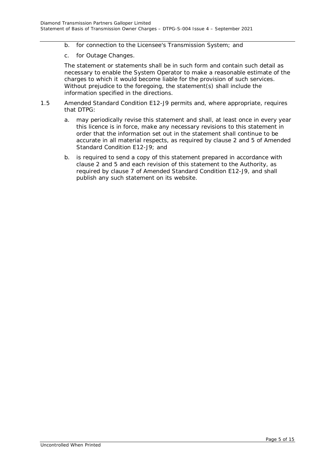- *b. for connection to the Licensee's Transmission System; and*
- c. *for Outage Changes.*

The statement or statements shall be in such form and contain such detail as necessary to enable the System Operator to make a reasonable estimate of the charges to which it would become liable for the provision of such services. Without prejudice to the foregoing, the statement(s) shall include the information specified in the directions.

- 1.5 Amended Standard Condition E12-J9 permits and, where appropriate, requires that DTPG:
	- a. may periodically revise this statement and shall, at least once in every year this licence is in force, make any necessary revisions to this statement in order that the information set out in the statement shall continue to be accurate in all material respects, as required by clause 2 and 5 of Amended Standard Condition E12-J9; and
	- b. is required to send a copy of this statement prepared in accordance with clause 2 and 5 and each revision of this statement to the Authority, as required by clause 7 of Amended Standard Condition E12-J9, and shall publish any such statement on its website.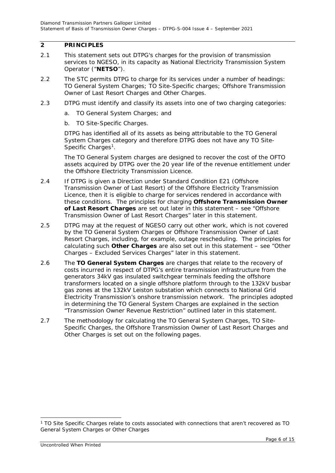### <span id="page-5-0"></span>**2 PRINCIPLES**

- 2.1 This statement sets out DTPG's charges for the provision of transmission services to NGESO, in its capacity as National Electricity Transmission System Operator ("**NETSO**").
- 2.2 The STC permits DTPG to charge for its services under a number of headings: TO General System Charges; TO Site-Specific charges; Offshore Transmission Owner of Last Resort Charges and Other Charges.
- 2.3 DTPG must identify and classify its assets into one of two charging categories:
	- a. TO General System Charges; and
	- b. TO Site-Specific Charges.

DTPG has identified all of its assets as being attributable to the TO General System Charges category and therefore DTPG does not have any TO Site-Specific Charges<sup>[1](#page-5-1)</sup>.

The TO General System charges are designed to recover the cost of the OFTO assets acquired by DTPG over the 20 year life of the revenue entitlement under the Offshore Electricity Transmission Licence.

- 2.4 If DTPG is given a Direction under Standard Condition E21 (Offshore Transmission Owner of Last Resort) of the Offshore Electricity Transmission Licence, then it is eligible to charge for services rendered in accordance with these conditions. The principles for charging **Offshore Transmission Owner of Last Resort Charges** are set out later in this statement – see "Offshore Transmission Owner of Last Resort Charges" later in this statement.
- 2.5 DTPG may at the request of NGESO carry out other work, which is not covered by the TO General System Charges or Offshore Transmission Owner of Last Resort Charges, including, for example, outage rescheduling. The principles for calculating such **Other Charges** are also set out in this statement – see "Other Charges – Excluded Services Charges" later in this statement.
- 2.6 The **TO General System Charges** are charges that relate to the recovery of costs incurred in respect of DTPG's entire transmission infrastructure from the generators 34kV gas insulated switchgear terminals feeding the offshore transformers located on a single offshore platform through to the 132kV busbar gas zones at the 132kV Leiston substation which connects to National Grid Electricity Transmission's onshore transmission network. The principles adopted in determining the TO General System Charges are explained in the section "Transmission Owner Revenue Restriction" outlined later in this statement.
- 2.7 The methodology for calculating the TO General System Charges, TO Site-Specific Charges, the Offshore Transmission Owner of Last Resort Charges and Other Charges is set out on the following pages.

-

<span id="page-5-1"></span><sup>1</sup> TO Site Specific Charges relate to costs associated with connections that aren't recovered as TO General System Charges or Other Charges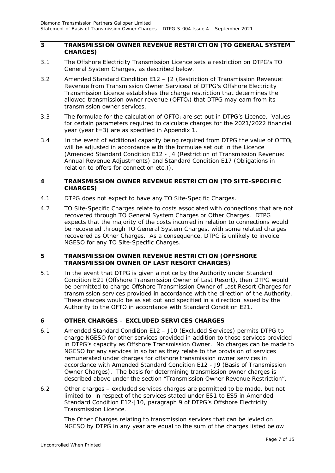#### <span id="page-6-0"></span>**3 TRANSMISSION OWNER REVENUE RESTRICTION (TO GENERAL SYSTEM CHARGES)**

- 3.1 The Offshore Electricity Transmission Licence sets a restriction on DTPG's TO General System Charges, as described below.
- 3.2 Amended Standard Condition E12 J2 (Restriction of Transmission Revenue: Revenue from Transmission Owner Services) of DTPG's Offshore Electricity Transmission Licence establishes the charge restriction that determines the allowed transmission owner revenue (OFTO $<sub>t</sub>$ ) that DTPG may earn from its</sub> transmission owner services.
- 3.3 The formulae for the calculation of OFTO<sub>t</sub> are set out in DTPG's Licence. Values for certain parameters required to calculate charges for the 2021/2022 financial year (year t=3) are as specified in Appendix 1.
- 3.4 In the event of additional capacity being required from DTPG the value of  $\text{OFTO}_t$ will be adjusted in accordance with the formulae set out in the Licence (Amended Standard Condition E12 - J4 (Restriction of Transmission Revenue: Annual Revenue Adjustments) and Standard Condition E17 (Obligations in relation to offers for connection etc.)).

#### <span id="page-6-1"></span>**4 TRANSMISSION OWNER REVENUE RESTRICTION (TO SITE-SPECIFIC CHARGES)**

- 4.1 DTPG does not expect to have any TO Site-Specific Charges.
- 4.2 TO Site-Specific Charges relate to costs associated with connections that are not recovered through TO General System Charges or Other Charges. DTPG expects that the majority of the costs incurred in relation to connections would be recovered through TO General System Charges, with some related charges recovered as Other Charges. As a consequence, DTPG is unlikely to invoice NGESO for any TO Site-Specific Charges.

#### <span id="page-6-2"></span>**5 TRANSMISSION OWNER REVENUE RESTRICTION (OFFSHORE TRANSMISSION OWNER OF LAST RESORT CHARGES)**

5.1 In the event that DTPG is given a notice by the Authority under Standard Condition E21 (Offshore Transmission Owner of Last Resort), then DTPG would be permitted to charge Offshore Transmission Owner of Last Resort Charges for transmission services provided in accordance with the direction of the Authority. These charges would be as set out and specified in a direction issued by the Authority to the OFTO in accordance with Standard Condition E21.

### <span id="page-6-3"></span>**6 OTHER CHARGES – EXCLUDED SERVICES CHARGES**

- 6.1 Amended Standard Condition E12 J10 (Excluded Services) permits DTPG to charge NGESO for other services provided in addition to those services provided in DTPG's capacity as Offshore Transmission Owner. No charges can be made to NGESO for any services in so far as they relate to the provision of services remunerated under charges for offshore transmission owner services in accordance with Amended Standard Condition E12 - J9 (Basis of Transmission Owner Charges). The basis for determining transmission owner charges is described above under the section "Transmission Owner Revenue Restriction".
- 6.2 Other charges excluded services charges are permitted to be made, but not limited to, in respect of the services stated under ES1 to ES5 in Amended Standard Condition E12-J10, paragraph 9 of DTPG's Offshore Electricity Transmission Licence.

The Other Charges relating to transmission services that can be levied on NGESO by DTPG in any year are equal to the sum of the charges listed below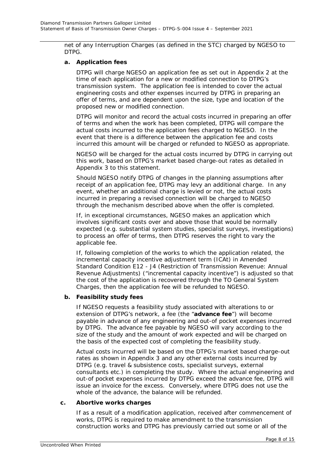net of any Interruption Charges (as defined in the STC) charged by NGESO to DTPG.

#### **a. Application fees**

DTPG will charge NGESO an application fee as set out in Appendix 2 at the time of each application for a new or modified connection to DTPG's transmission system. The application fee is intended to cover the actual engineering costs and other expenses incurred by DTPG in preparing an offer of terms, and are dependent upon the size, type and location of the proposed new or modified connection.

DTPG will monitor and record the actual costs incurred in preparing an offer of terms and when the work has been completed, DTPG will compare the actual costs incurred to the application fees charged to NGESO. In the event that there is a difference between the application fee and costs incurred this amount will be charged or refunded to NGESO as appropriate.

NGESO will be charged for the actual costs incurred by DTPG in carrying out this work, based on DTPG's market based charge-out rates as detailed in Appendix 3 to this statement.

Should NGESO notify DTPG of changes in the planning assumptions after receipt of an application fee, DTPG may levy an additional charge. In any event, whether an additional charge is levied or not, the actual costs incurred in preparing a revised connection will be charged to NGESO through the mechanism described above when the offer is completed.

If, in exceptional circumstances, NGESO makes an application which involves significant costs over and above those that would be normally expected (e.g. substantial system studies, specialist surveys, investigations) to process an offer of terms, then DTPG reserves the right to vary the applicable fee.

If, following completion of the works to which the application related, the incremental capacity incentive adjustment term (ICAt) in Amended Standard Condition E12 - J4 (Restriction of Transmission Revenue: Annual Revenue Adjustments) ("incremental capacity incentive") is adjusted so that the cost of the application is recovered through the TO General System Charges, then the application fee will be refunded to NGESO.

#### **b. Feasibility study fees**

If NGESO requests a feasibility study associated with alterations to or extension of DTPG's network, a fee (the "**advance fee**") will become payable in advance of any engineering and out-of pocket expenses incurred by DTPG. The advance fee payable by NGESO will vary according to the size of the study and the amount of work expected and will be charged on the basis of the expected cost of completing the feasibility study.

Actual costs incurred will be based on the DTPG's market based charge-out rates as shown in Appendix 3 and any other external costs incurred by DTPG (e.g. travel & subsistence costs, specialist surveys, external consultants etc.) in completing the study. Where the actual engineering and out-of pocket expenses incurred by DTPG exceed the advance fee, DTPG will issue an invoice for the excess. Conversely, where DTPG does not use the whole of the advance, the balance will be refunded.

#### **c. Abortive works charges**

If as a result of a modification application, received after commencement of works, DTPG is required to make amendment to the transmission construction works and DTPG has previously carried out some or all of the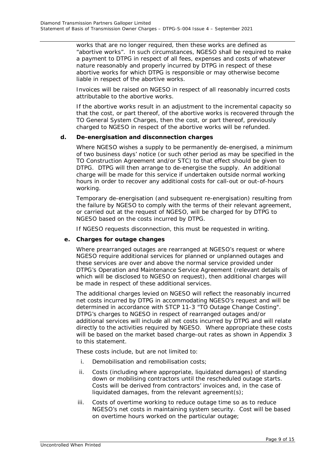works that are no longer required, then these works are defined as "abortive works". In such circumstances, NGESO shall be required to make a payment to DTPG in respect of all fees, expenses and costs of whatever nature reasonably and properly incurred by DTPG in respect of these abortive works for which DTPG is responsible or may otherwise become liable in respect of the abortive works.

Invoices will be raised on NGESO in respect of all reasonably incurred costs attributable to the abortive works.

If the abortive works result in an adjustment to the incremental capacity so that the cost, or part thereof, of the abortive works is recovered through the TO General System Charges, then the cost, or part thereof, previously charged to NGESO in respect of the abortive works will be refunded.

#### **d. De-energisation and disconnection charges**

Where NGESO wishes a supply to be permanently de-energised, a minimum of two business days' notice (or such other period as may be specified in the TO Construction Agreement and/or STC) to that effect should be given to DTPG. DTPG will then arrange to de-energise the supply. An additional charge will be made for this service if undertaken outside normal working hours in order to recover any additional costs for call-out or out-of-hours working.

Temporary de-energisation (and subsequent re-energisation) resulting from the failure by NGESO to comply with the terms of their relevant agreement, or carried out at the request of NGESO, will be charged for by DTPG to NGESO based on the costs incurred by DTPG.

If NGESO requests disconnection, this must be requested in writing.

#### **e. Charges for outage changes**

Where prearranged outages are rearranged at NGESO's request or where NGESO require additional services for planned or unplanned outages and these services are over and above the normal service provided under DTPG's Operation and Maintenance Service Agreement (relevant details of which will be disclosed to NGESO on request), then additional charges will be made in respect of these additional services.

The additional charges levied on NGESO will reflect the reasonably incurred net costs incurred by DTPG in accommodating NGESO's request and will be determined in accordance with STCP 11-3 "TO Outage Change Costing". DTPG's charges to NGESO in respect of rearranged outages and/or additional services will include all net costs incurred by DTPG and will relate directly to the activities required by NGESO. Where appropriate these costs will be based on the market based charge-out rates as shown in Appendix 3 to this statement.

These costs include, but are not limited to:

- i. Demobilisation and remobilisation costs;
- ii. Costs (including where appropriate, liquidated damages) of standing down or mobilising contractors until the rescheduled outage starts. Costs will be derived from contractors' invoices and, in the case of liquidated damages, from the relevant agreement(s);
- iii. Costs of overtime working to reduce outage time so as to reduce NGESO's net costs in maintaining system security. Cost will be based on overtime hours worked on the particular outage;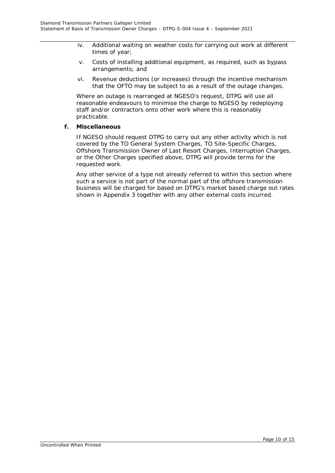- iv. Additional waiting on weather costs for carrying out work at different times of year;
- v. Costs of installing additional equipment, as required, such as bypass arrangements; and
- vi. Revenue deductions (or increases) through the incentive mechanism that the OFTO may be subject to as a result of the outage changes.

Where an outage is rearranged at NGESO's request, DTPG will use all reasonable endeavours to minimise the charge to NGESO by redeploying staff and/or contractors onto other work where this is reasonably practicable.

#### **f. Miscellaneous**

If NGESO should request DTPG to carry out any other activity which is not covered by the TO General System Charges, TO Site-Specific Charges, Offshore Transmission Owner of Last Resort Charges, Interruption Charges, or the Other Charges specified above, DTPG will provide terms for the requested work.

Any other service of a type not already referred to within this section where such a service is not part of the normal part of the offshore transmission business will be charged for based on DTPG's market based charge out rates shown in Appendix 3 together with any other external costs incurred.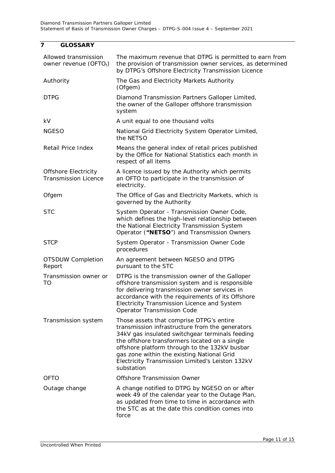## <span id="page-10-0"></span>**7 GLOSSARY**

| Allowed transmission<br>owner revenue $(OFTOt)$            | The maximum revenue that DTPG is permitted to earn from<br>the provision of transmission owner services, as determined<br>by DTPG's Offshore Electricity Transmission Licence                                                                                                                                                                                    |
|------------------------------------------------------------|------------------------------------------------------------------------------------------------------------------------------------------------------------------------------------------------------------------------------------------------------------------------------------------------------------------------------------------------------------------|
| Authority                                                  | The Gas and Electricity Markets Authority<br>(Ofgem)                                                                                                                                                                                                                                                                                                             |
| <b>DTPG</b>                                                | Diamond Transmission Partners Galloper Limited,<br>the owner of the Galloper offshore transmission<br>system                                                                                                                                                                                                                                                     |
| kV                                                         | A unit equal to one thousand volts                                                                                                                                                                                                                                                                                                                               |
| <b>NGESO</b>                                               | National Grid Electricity System Operator Limited,<br>the NETSO                                                                                                                                                                                                                                                                                                  |
| Retail Price Index                                         | Means the general index of retail prices published<br>by the Office for National Statistics each month in<br>respect of all items                                                                                                                                                                                                                                |
| <b>Offshore Electricity</b><br><b>Transmission Licence</b> | A licence issued by the Authority which permits<br>an OFTO to participate in the transmission of<br>electricity.                                                                                                                                                                                                                                                 |
| Ofgem                                                      | The Office of Gas and Electricity Markets, which is<br>governed by the Authority                                                                                                                                                                                                                                                                                 |
| <b>STC</b>                                                 | System Operator - Transmission Owner Code,<br>which defines the high-level relationship between<br>the National Electricity Transmission System<br>Operator ("NETSO") and Transmission Owners                                                                                                                                                                    |
| <b>STCP</b>                                                | System Operator - Transmission Owner Code<br>procedures                                                                                                                                                                                                                                                                                                          |
| <b>OTSDUW Completion</b><br>Report                         | An agreement between NGESO and DTPG<br>pursuant to the STC                                                                                                                                                                                                                                                                                                       |
| Transmission owner or<br>TO                                | DTPG is the transmission owner of the Galloper<br>offshore transmission system and is responsible<br>for delivering transmission owner services in<br>accordance with the requirements of its Offshore<br>Electricity Transmission Licence and System<br>Operator Transmission Code                                                                              |
| Transmission system                                        | Those assets that comprise DTPG's entire<br>transmission infrastructure from the generators<br>34kV gas insulated switchgear terminals feeding<br>the offshore transformers located on a single<br>offshore platform through to the 132kV busbar<br>gas zone within the existing National Grid<br>Electricity Transmission Limited's Leiston 132kV<br>substation |
| <b>OFTO</b>                                                | Offshore Transmission Owner                                                                                                                                                                                                                                                                                                                                      |
| Outage change                                              | A change notified to DTPG by NGESO on or after<br>week 49 of the calendar year to the Outage Plan,<br>as updated from time to time in accordance with<br>the STC as at the date this condition comes into<br>force                                                                                                                                               |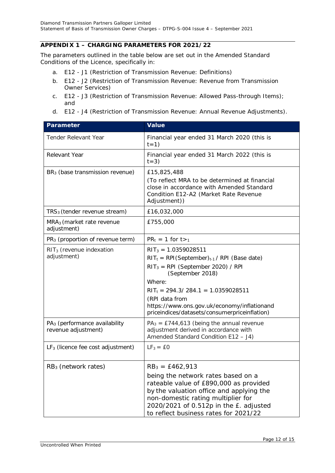#### <span id="page-11-0"></span>**APPENDIX 1 – CHARGING PARAMETERS FOR 2021/22**

The parameters outlined in the table below are set out in the Amended Standard Conditions of the Licence, specifically in:

- a. E12 J1 (Restriction of Transmission Revenue: Definitions)
- b. E12 J2 (Restriction of Transmission Revenue: Revenue from Transmission Owner Services)
- c. E12 J3 (Restriction of Transmission Revenue: Allowed Pass-through Items); and
- d. E12 J4 (Restriction of Transmission Revenue: Annual Revenue Adjustments).

| <b>Parameter</b>                                                 | <b>Value</b>                                                                                                                                                                                                                                                                                                 |
|------------------------------------------------------------------|--------------------------------------------------------------------------------------------------------------------------------------------------------------------------------------------------------------------------------------------------------------------------------------------------------------|
| <b>Tender Relevant Year</b>                                      | Financial year ended 31 March 2020 (this is<br>$t=1)$                                                                                                                                                                                                                                                        |
| Relevant Year                                                    | Financial year ended 31 March 2022 (this is<br>$t=3)$                                                                                                                                                                                                                                                        |
| BR <sub>3</sub> (base transmission revenue)                      | £15,825,488<br>(To reflect MRA to be determined at financial<br>close in accordance with Amended Standard<br>Condition E12-A2 (Market Rate Revenue<br>Adjustment))                                                                                                                                           |
| $TRS3$ (tender revenue stream)                                   | £16,032,000                                                                                                                                                                                                                                                                                                  |
| MRA <sub>3</sub> (market rate revenue<br>adjustment)             | £755,000                                                                                                                                                                                                                                                                                                     |
| $PR3$ (proportion of revenue term)                               | $PR_t = 1$ for $t >_1$                                                                                                                                                                                                                                                                                       |
| $RIT3$ (revenue indexation<br>adjustment)                        | $RIT_3 = 1.0359028511$<br>$RIT_t = RPI(September)_{t-1}$ / RPI (Base date)<br>$RIT_3 = RPI$ (September 2020) / RPI<br>(September 2018)<br>Where:<br>$RIT_t = 294.3 / 284.1 = 1.0359028511$<br>(RPI data from<br>https://www.ons.gov.uk/economy/inflationand<br>priceindices/datasets/consumerpriceinflation) |
| PA <sub>3</sub> (performance availability<br>revenue adjustment) | $PA_3 =$ £744,613 (being the annual revenue<br>adjustment derived in accordance with<br>Amended Standard Condition E12 - J4)                                                                                                                                                                                 |
| $LF3$ (licence fee cost adjustment)                              | $LF3 = £0$                                                                                                                                                                                                                                                                                                   |
| $RB3$ (network rates)                                            | $RB_3 = \text{\pounds}462,913$<br>being the network rates based on a<br>rateable value of £890,000 as provided<br>by the valuation office and applying the<br>non-domestic rating multiplier for<br>2020/2021 of 0.512p in the £. adjusted<br>to reflect business rates for 2021/22                          |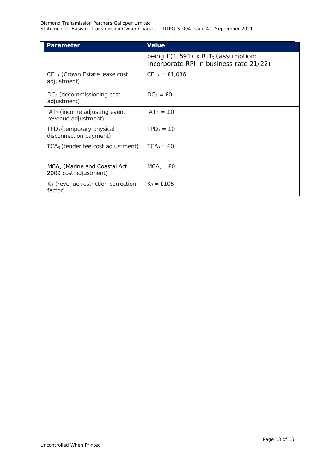| <b>Parameter</b>                                                  | <b>Value</b>                                                                                |
|-------------------------------------------------------------------|---------------------------------------------------------------------------------------------|
|                                                                   | being $E(1,691)$ x RIT <sub>t</sub> (assumption:<br>Incorporate RPI in business rate 21/22) |
| CEL <sub>3</sub> (Crown Estate lease cost<br>adjustment)          | $CEL_3 = £1,036$                                                                            |
| $DC3$ (decommissioning cost<br>adjustment)                        | $DC_3 = \text{\pounds}0$                                                                    |
| $IAT3$ (income adjusting event<br>revenue adjustment)             | $IAT_3 = EO$                                                                                |
| TPD <sub>3</sub> (temporary physical<br>disconnection payment)    | $TPD_3 = EO$                                                                                |
| $TCA3$ (tender fee cost adjustment)                               | $TCA_3 = EO$                                                                                |
| MCA <sub>3</sub> (Marine and Coastal Act<br>2009 cost adjustment) | $MCA_3 = EO$                                                                                |
| $K3$ (revenue restriction correction<br>factor)                   | $K_3 = £105$                                                                                |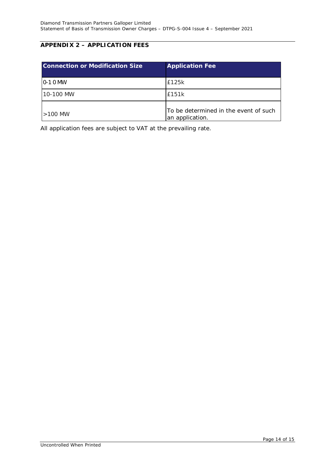### <span id="page-13-0"></span>**APPENDIX 2 – APPLICATION FEES**

| <b>Connection or Modification Size</b> | <b>Application Fee</b>                                   |
|----------------------------------------|----------------------------------------------------------|
| $10-10$ MW                             | £125k                                                    |
| 10-100 MW                              | £151k                                                    |
| $>100$ MW                              | To be determined in the event of such<br>an application. |

All application fees are subject to VAT at the prevailing rate.